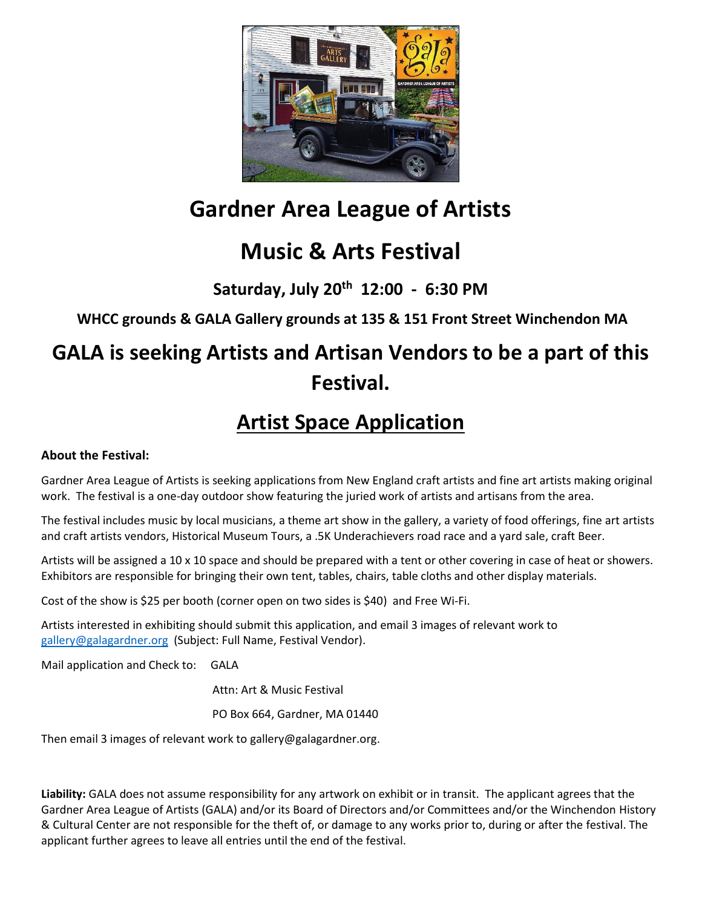

# **Gardner Area League of Artists**

# **Music & Arts Festival**

**Saturday, July 20th 12:00 - 6:30 PM**

**WHCC grounds & GALA Gallery grounds at 135 & 151 Front Street Winchendon MA**

# **GALA is seeking Artists and Artisan Vendors to be a part of this Festival.**

## **Artist Space Application**

### **About the Festival:**

Gardner Area League of Artists is seeking applications from New England craft artists and fine art artists making original work. The festival is a one-day outdoor show featuring the juried work of artists and artisans from the area.

The festival includes music by local musicians, a theme art show in the gallery, a variety of food offerings, fine art artists and craft artists vendors, Historical Museum Tours, a .5K Underachievers road race and a yard sale, craft Beer.

Artists will be assigned a 10 x 10 space and should be prepared with a tent or other covering in case of heat or showers. Exhibitors are responsible for bringing their own tent, tables, chairs, table cloths and other display materials.

Cost of the show is \$25 per booth (corner open on two sides is \$40) and Free Wi-Fi.

Artists interested in exhibiting should submit this application, and email 3 images of relevant work to [gallery@galagardner.org](mailto:gallery@galagardner.org) (Subject: Full Name, Festival Vendor).

Mail application and Check to: GALA

Attn: Art & Music Festival

PO Box 664, Gardner, MA 01440

Then email 3 images of relevant work to gallery@galagardner.org.

**Liability:** GALA does not assume responsibility for any artwork on exhibit or in transit. The applicant agrees that the Gardner Area League of Artists (GALA) and/or its Board of Directors and/or Committees and/or the Winchendon History & Cultural Center are not responsible for the theft of, or damage to any works prior to, during or after the festival. The applicant further agrees to leave all entries until the end of the festival.